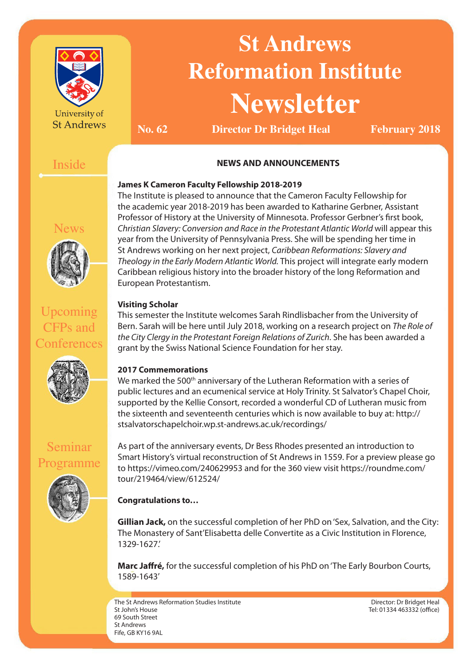

University of **St Andrews** 

# **St Andrews Reformation Institute Newsletter**

**No. 62 Director Dr Bridget Heal February 2018** 

# Inside

News

# **NEWS AND ANNOUNCEMENTS**

# **James K Cameron Faculty Fellowship 2018-2019**

The Institute is pleased to announce that the Cameron Faculty Fellowship for the academic year 2018-2019 has been awarded to Katharine Gerbner, Assistant Professor of History at the University of Minnesota. Professor Gerbner's first book, *Christian Slavery: Conversion and Race in the Protestant Atlantic World* will appear this year from the University of Pennsylvania Press. She will be spending her time in St Andrews working on her next project, *Caribbean Reformations: Slavery and Theology in the Early Modern Atlantic World.* This project will integrate early modern Caribbean religious history into the broader history of the long Reformation and European Protestantism.

# **Visiting Scholar**

This semester the Institute welcomes Sarah Rindlisbacher from the University of Bern. Sarah will be here until July 2018, working on a research project on *The Role of the City Clergy in the Protestant Foreign Relations of Zurich*. She has been awarded a grant by the Swiss National Science Foundation for her stay.

# **2017 Commemorations**

We marked the 500<sup>th</sup> anniversary of the Lutheran Reformation with a series of public lectures and an ecumenical service at Holy Trinity. St Salvator's Chapel Choir, supported by the Kellie Consort, recorded a wonderful CD of Lutheran music from the sixteenth and seventeenth centuries which is now available to buy at: http:// stsalvatorschapelchoir.wp.st-andrews.ac.uk/recordings/

As part of the anniversary events, Dr Bess Rhodes presented an introduction to Smart History's virtual reconstruction of St Andrews in 1559. For a preview please go to https://vimeo.com/240629953 and for the 360 view visit https://roundme.com/ tour/219464/view/612524/

# **Congratulations to…**

**Gillian Jack,** on the successful completion of her PhD on 'Sex, Salvation, and the City: The Monastery of Sant'Elisabetta delle Convertite as a Civic Institution in Florence, 1329-1627.'

**Marc Jaffré,** for the successful completion of his PhD on 'The Early Bourbon Courts, 1589-1643'

The St Andrews Reformation Studies Institute St John's House 69 South Street St Andrews Fife, GB KY16 9AL

Director: Dr Bridget Heal Tel: 01334 463332 (office)

Upcoming CFPs and **Conferences** 



Seminar Programme

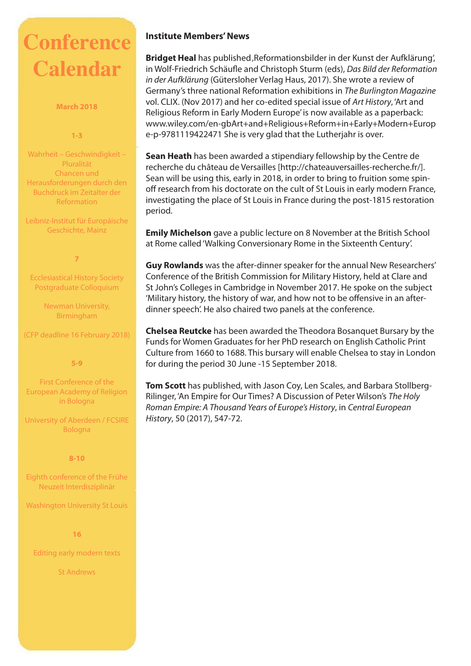# **Conference Calendar**

#### **March 2018**

#### **1-3**

Wahrheit – Geschwindigkeit – Pluralität Chancen und Herausforderungen durch den Buchdruck im Zeitalter der Reformation

Leibniz-Institut für Europäische Geschichte, Mainz

#### **7**

Ecclesiastical History Society Postgraduate Colloquium

> Newman University, Birmingham

(CFP deadline 16 February 2018)

**5-9** 

First Conference of the European Academy of Religion in Bologna

University of Aberdeen / FCSIRE Bologna

**8-10** 

Eighth conference of the Frühe Neuzeit Interdisziplinär

Washington University St Louis

**16**

Editing early modern texts

St Andrews

### **Institute Members' News**

**Bridget Heal** has published, Reformationsbilder in der Kunst der Aufklärung', in Wolf-Friedrich Schäufle and Christoph Sturm (eds), *Das Bild der Reformation in der Aufklärung* (Gütersloher Verlag Haus, 2017). She wrote a review of Germany's three national Reformation exhibitions in *The Burlington Magazine* vol. CLIX. (Nov 2017) and her co-edited special issue of *Art History*, 'Art and Religious Reform in Early Modern Europe' is now available as a paperback: www.wiley.com/en-gbArt+and+Religious+Reform+in+Early+Modern+Europ e-p-9781119422471 She is very glad that the Lutherjahr is over.

**Sean Heath** has been awarded a stipendiary fellowship by the Centre de recherche du château de Versailles [http://chateauversailles-recherche.fr/]. Sean will be using this, early in 2018, in order to bring to fruition some spinoff research from his doctorate on the cult of St Louis in early modern France, investigating the place of St Louis in France during the post-1815 restoration period.

**Emily Michelson** gave a public lecture on 8 November at the British School at Rome called 'Walking Conversionary Rome in the Sixteenth Century'.

**Guy Rowlands** was the after-dinner speaker for the annual New Researchers' Conference of the British Commission for Military History, held at Clare and St John's Colleges in Cambridge in November 2017. He spoke on the subject 'Military history, the history of war, and how not to be offensive in an afterdinner speech'. He also chaired two panels at the conference.

**Chelsea Reutcke** has been awarded the Theodora Bosanquet Bursary by the Funds for Women Graduates for her PhD research on English Catholic Print Culture from 1660 to 1688. This bursary will enable Chelsea to stay in London for during the period 30 June -15 September 2018.

**Tom Scott** has published, with Jason Coy, Len Scales, and Barbara Stollberg-Rilinger, 'An Empire for Our Times? A Discussion of Peter Wilson's *The Holy Roman Empire: A Thousand Years of Europe's History*, in *Central European History*, 50 (2017), 547-72.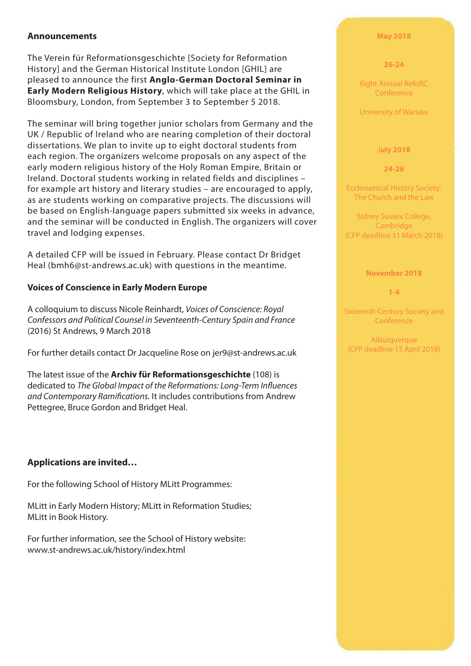### **Announcements**

The Verein für Reformationsgeschichte [Society for Reformation History] and the German Historical Institute London [GHIL] are pleased to announce the first **Anglo-German Doctoral Seminar in Early Modern Religious History**, which will take place at the GHIL in Bloomsbury, London, from September 3 to September 5 2018.

The seminar will bring together junior scholars from Germany and the UK / Republic of Ireland who are nearing completion of their doctoral dissertations. We plan to invite up to eight doctoral students from each region. The organizers welcome proposals on any aspect of the early modern religious history of the Holy Roman Empire, Britain or Ireland. Doctoral students working in related fields and disciplines – for example art history and literary studies – are encouraged to apply, as are students working on comparative projects. The discussions will be based on English-language papers submitted six weeks in advance, and the seminar will be conducted in English. The organizers will cover travel and lodging expenses.

A detailed CFP will be issued in February. Please contact Dr Bridget Heal (bmh6@st-andrews.ac.uk) with questions in the meantime.

#### **Voices of Conscience in Early Modern Europe**

A colloquium to discuss Nicole Reinhardt, *Voices of Conscience: Royal Confessors and Political Counsel in Seventeenth-Century Spain and France* (2016) St Andrews, 9 March 2018

For further details contact Dr Jacqueline Rose on jer9@st-andrews.ac.uk

The latest issue of the **Archiv für Reformationsgeschichte** (108) is dedicated to *The Global Impact of the Reformations: Long-Term Influences and Contemporary Ramifications.* It includes contributions from Andrew Pettegree, Bruce Gordon and Bridget Heal.

## **Applications are invited…**

For the following School of History MLitt Programmes:

MLitt in Early Modern History; MLitt in Reformation Studies; MLitt in Book History.

For further information, see the School of History website: www.st-andrews.ac.uk/history/index.html

#### **May 2018**

#### **26-24**

Eight Annual RefoRC Conference

University of Warsaw

#### J**uly 2018**

**24-26**

Ecclesiastical History Society: The Church and the Law

Sidney Sussex College, Cambridge (CFP deadline 31 March 2018)

#### **November 2018**

**1-4**

Sixteenth Century Society and **Conference** 

Alburquerque (CFP deadline 15 April 2018)